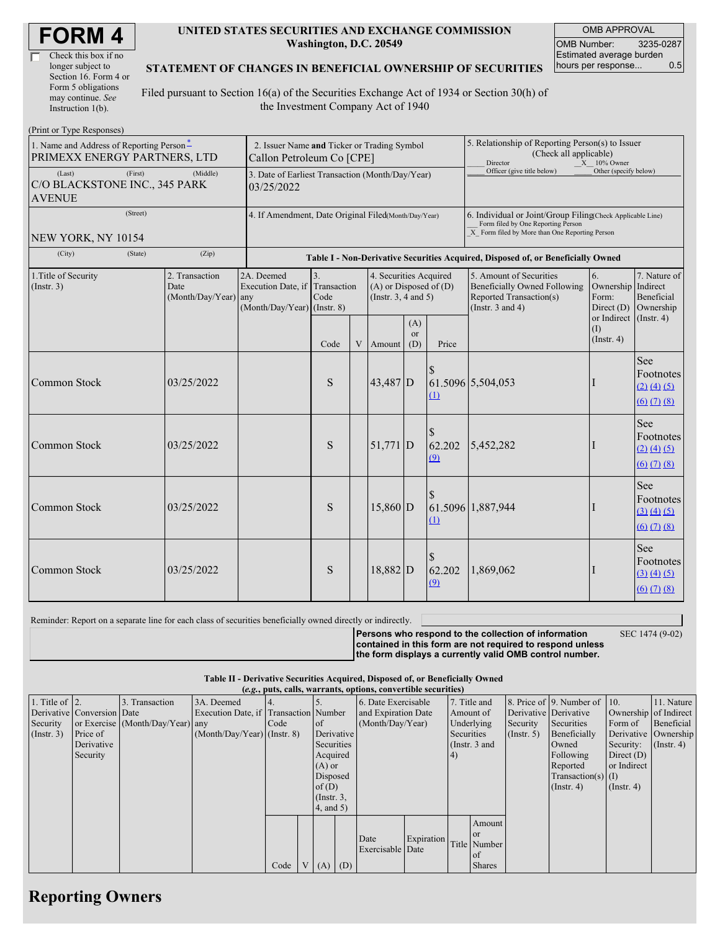| Check this box if no  |
|-----------------------|
| longer subject to     |
| Section 16. Form 4 or |
| Form 5 obligations    |
| may continue. See     |
| Instruction $1(b)$ .  |

#### **UNITED STATES SECURITIES AND EXCHANGE COMMISSION Washington, D.C. 20549**

OMB APPROVAL OMB Number: 3235-0287 Estimated average burden hours per response... 0.5

#### **STATEMENT OF CHANGES IN BENEFICIAL OWNERSHIP OF SECURITIES**

Filed pursuant to Section 16(a) of the Securities Exchange Act of 1934 or Section 30(h) of the Investment Company Act of 1940

| (Print or Type Responses)                                                            |                                                                          |                                                                                  |            |   |                                                                                  |                         |                                                                                                                                                    |                                                                                                             |                                                   |                                                                                          |
|--------------------------------------------------------------------------------------|--------------------------------------------------------------------------|----------------------------------------------------------------------------------|------------|---|----------------------------------------------------------------------------------|-------------------------|----------------------------------------------------------------------------------------------------------------------------------------------------|-------------------------------------------------------------------------------------------------------------|---------------------------------------------------|------------------------------------------------------------------------------------------|
| 1. Name and Address of Reporting Person <sup>*</sup><br>PRIMEXX ENERGY PARTNERS, LTD | 2. Issuer Name and Ticker or Trading Symbol<br>Callon Petroleum Co [CPE] |                                                                                  |            |   |                                                                                  |                         | 5. Relationship of Reporting Person(s) to Issuer<br>(Check all applicable)<br>Director<br>$X = 10\%$ Owner                                         |                                                                                                             |                                                   |                                                                                          |
| (Last)<br>(First)<br>C/O BLACKSTONE INC., 345 PARK<br><b>AVENUE</b>                  | 3. Date of Earliest Transaction (Month/Day/Year)<br>03/25/2022           |                                                                                  |            |   |                                                                                  |                         | Officer (give title below)                                                                                                                         | Other (specify below)                                                                                       |                                                   |                                                                                          |
| (Street)<br>NEW YORK, NY 10154                                                       | 4. If Amendment, Date Original Filed(Month/Day/Year)                     |                                                                                  |            |   |                                                                                  |                         | 6. Individual or Joint/Group Filing(Check Applicable Line)<br>Form filed by One Reporting Person<br>X Form filed by More than One Reporting Person |                                                                                                             |                                                   |                                                                                          |
| (City)<br>(State)                                                                    | (Zip)                                                                    | Table I - Non-Derivative Securities Acquired, Disposed of, or Beneficially Owned |            |   |                                                                                  |                         |                                                                                                                                                    |                                                                                                             |                                                   |                                                                                          |
| 1. Title of Security<br>(Insert. 3)                                                  | 2. Transaction<br>Date<br>$(Month/Day/Year)$ any                         | 2A. Deemed<br>Execution Date, if Transaction<br>$(Month/Day/Year)$ (Instr. 8)    | 3.<br>Code |   | 4. Securities Acquired<br>$(A)$ or Disposed of $(D)$<br>(Instr. $3, 4$ and $5$ ) |                         |                                                                                                                                                    | 5. Amount of Securities<br>Beneficially Owned Following<br>Reported Transaction(s)<br>(Instr. $3$ and $4$ ) | 6.<br>Ownership Indirect<br>Form:<br>Direct $(D)$ | 7. Nature of<br>Beneficial<br>Ownership                                                  |
|                                                                                      |                                                                          |                                                                                  | Code       | V | Amount                                                                           | (A)<br><b>or</b><br>(D) | Price                                                                                                                                              |                                                                                                             | or Indirect<br>(1)<br>$($ Instr. 4 $)$            | $($ Instr. 4)                                                                            |
| Common Stock                                                                         | 03/25/2022                                                               |                                                                                  | ${\bf S}$  |   | 43,487 D                                                                         |                         | $\mathbf{\underline{u}}$                                                                                                                           | 61.5096 5,504,053                                                                                           |                                                   | See<br>Footnotes<br>$(2)$ $(4)$ $(5)$<br>$(6)$ $(7)$ $(8)$                               |
| Common Stock                                                                         | 03/25/2022                                                               |                                                                                  | S          |   | $51,771$ D                                                                       |                         | 62.202<br>(9)                                                                                                                                      | 5,452,282                                                                                                   |                                                   | See<br>Footnotes<br>(2) (4) (5)<br>$(6)$ $(7)$ $(8)$                                     |
| <b>Common Stock</b>                                                                  | 03/25/2022                                                               |                                                                                  | S          |   | 15,860 D                                                                         |                         | $\Omega$                                                                                                                                           | 61.5096 1,887,944                                                                                           |                                                   | See<br>Footnotes<br>(3) (4) (5)<br>$(6)$ $(7)$ $(8)$                                     |
| Common Stock                                                                         | 03/25/2022                                                               |                                                                                  | S          |   | $18,882$ D                                                                       |                         | 62.202<br>(9)                                                                                                                                      | 1,869,062                                                                                                   | -                                                 | See<br>Footnotes<br>(3) (4) (5)<br>$\underline{(6)}$ $\underline{(7)}$ $\underline{(8)}$ |

Reminder: Report on a separate line for each class of securities beneficially owned directly or indirectly. **Persons who respond to the collection of information**

SEC 1474 (9-02)

**contained in this form are not required to respond unless the form displays a currently valid OMB control number.**

**Table II - Derivative Securities Acquired, Disposed of, or Beneficially Owned (***e.g.***, puts, calls, warrants, options, convertible securities)**

| $(0.5, 0.005, 0.005, 0.0005, 0.00005, 0.0000, 0.0000, 0.0000, 0.0000, 0.0000, 0.0000, 0.0000, 0.0000, 0.0000, 0.0000, 0.0000, 0.0000, 0.0000, 0.0000, 0.0000, 0.0000, 0.0000, 0.0000, 0.0000, 0.0000, 0.0000, 0.0000, 0.0000,$ |                            |                                  |                                       |      |  |                  |  |                     |            |            |               |                       |                              |                  |                       |
|--------------------------------------------------------------------------------------------------------------------------------------------------------------------------------------------------------------------------------|----------------------------|----------------------------------|---------------------------------------|------|--|------------------|--|---------------------|------------|------------|---------------|-----------------------|------------------------------|------------------|-----------------------|
| 1. Title of $\vert$ 2.                                                                                                                                                                                                         |                            | 3. Transaction                   | 3A. Deemed                            |      |  |                  |  | 6. Date Exercisable |            |            | 7. Title and  |                       | 8. Price of 9. Number of 10. |                  | 11. Nature            |
|                                                                                                                                                                                                                                | Derivative Conversion Date |                                  | Execution Date, if Transaction Number |      |  |                  |  | and Expiration Date |            |            | Amount of     | Derivative Derivative |                              |                  | Ownership of Indirect |
| Security                                                                                                                                                                                                                       |                            | or Exercise (Month/Day/Year) any |                                       | Code |  | 1 of             |  | (Month/Day/Year)    |            |            | Underlying    | Security              | Securities                   | Form of          | Beneficial            |
| $($ Instr. 3 $)$                                                                                                                                                                                                               | Price of                   |                                  | $(Month/Day/Year)$ (Instr. 8)         |      |  | Derivative       |  |                     |            | Securities |               | (Insert. 5)           | Beneficially                 |                  | Derivative Ownership  |
|                                                                                                                                                                                                                                | Derivative                 |                                  |                                       |      |  | Securities       |  |                     |            |            | (Instr. 3 and |                       | Owned                        | Security:        | $($ Instr. 4 $)$      |
|                                                                                                                                                                                                                                | Security                   |                                  |                                       |      |  | Acquired         |  |                     |            | (4)        |               |                       | Following                    | Direct $(D)$     |                       |
|                                                                                                                                                                                                                                |                            |                                  |                                       |      |  | $(A)$ or         |  |                     |            |            |               |                       | Reported                     | or Indirect      |                       |
|                                                                                                                                                                                                                                |                            |                                  |                                       |      |  | Disposed         |  |                     |            |            |               |                       | $Transaction(s)$ (I)         |                  |                       |
|                                                                                                                                                                                                                                |                            |                                  |                                       |      |  | of $(D)$         |  |                     |            |            |               |                       | $($ Instr. 4 $)$             | $($ Instr. 4 $)$ |                       |
|                                                                                                                                                                                                                                |                            |                                  |                                       |      |  | $($ Instr. $3$ , |  |                     |            |            |               |                       |                              |                  |                       |
|                                                                                                                                                                                                                                |                            |                                  |                                       |      |  | 4, and 5)        |  |                     |            |            |               |                       |                              |                  |                       |
|                                                                                                                                                                                                                                |                            |                                  |                                       |      |  |                  |  |                     |            |            | Amount        |                       |                              |                  |                       |
|                                                                                                                                                                                                                                |                            |                                  |                                       |      |  |                  |  |                     |            |            | <b>or</b>     |                       |                              |                  |                       |
|                                                                                                                                                                                                                                |                            |                                  |                                       |      |  |                  |  | Date                | Expiration |            | Title Number  |                       |                              |                  |                       |
|                                                                                                                                                                                                                                |                            |                                  |                                       |      |  |                  |  | Exercisable Date    |            |            | of            |                       |                              |                  |                       |
|                                                                                                                                                                                                                                |                            |                                  |                                       | Code |  | $V(A)$ (D)       |  |                     |            |            | <b>Shares</b> |                       |                              |                  |                       |

## **Reporting Owners**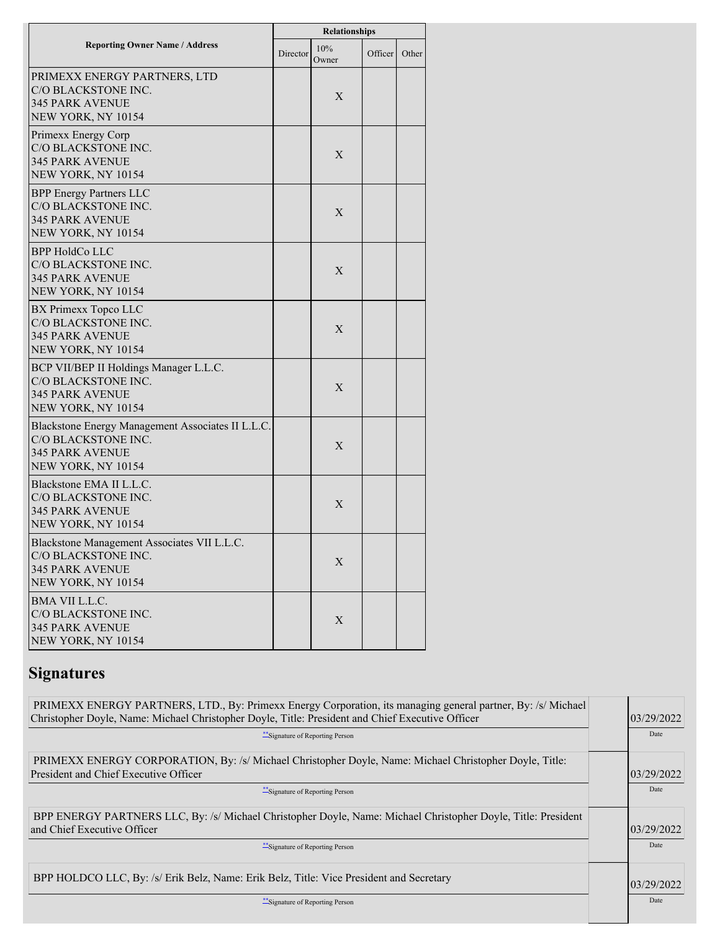|                                                                                                                          | Relationships |              |         |       |  |  |
|--------------------------------------------------------------------------------------------------------------------------|---------------|--------------|---------|-------|--|--|
| <b>Reporting Owner Name / Address</b>                                                                                    | Director      | 10%<br>Owner | Officer | Other |  |  |
| PRIMEXX ENERGY PARTNERS, LTD<br>C/O BLACKSTONE INC.<br><b>345 PARK AVENUE</b><br>NEW YORK, NY 10154                      |               | X            |         |       |  |  |
| Primexx Energy Corp<br>C/O BLACKSTONE INC.<br><b>345 PARK AVENUE</b><br>NEW YORK, NY 10154                               |               | X            |         |       |  |  |
| <b>BPP Energy Partners LLC</b><br>C/O BLACKSTONE INC.<br><b>345 PARK AVENUE</b><br>NEW YORK, NY 10154                    |               | X            |         |       |  |  |
| <b>BPP HoldCo LLC</b><br>C/O BLACKSTONE INC.<br><b>345 PARK AVENUE</b><br>NEW YORK, NY 10154                             |               | X            |         |       |  |  |
| BX Primexx Topco LLC<br>C/O BLACKSTONE INC.<br><b>345 PARK AVENUE</b><br>NEW YORK, NY 10154                              |               | X            |         |       |  |  |
| BCP VII/BEP II Holdings Manager L.L.C.<br>C/O BLACKSTONE INC.<br><b>345 PARK AVENUE</b><br>NEW YORK, NY 10154            |               | X            |         |       |  |  |
| Blackstone Energy Management Associates II L.L.C.<br>C/O BLACKSTONE INC.<br><b>345 PARK AVENUE</b><br>NEW YORK, NY 10154 |               | X            |         |       |  |  |
| Blackstone EMA II L.L.C.<br>C/O BLACKSTONE INC.<br><b>345 PARK AVENUE</b><br>NEW YORK, NY 10154                          |               | X            |         |       |  |  |
| Blackstone Management Associates VII L.L.C.<br>C/O BLACKSTONE INC.<br><b>345 PARK AVENUE</b><br>NEW YORK, NY 10154       |               | X            |         |       |  |  |
| <b>BMA VII L.L.C.</b><br>C/O BLACKSTONE INC.<br><b>345 PARK AVENUE</b><br>NEW YORK, NY 10154                             |               | X            |         |       |  |  |

# **Signatures**

| PRIMEXX ENERGY PARTNERS, LTD., By: Primexx Energy Corporation, its managing general partner, By: /s/ Michael<br>Christopher Doyle, Name: Michael Christopher Doyle, Title: President and Chief Executive Officer<br>Signature of Reporting Person | 03/29/2022<br>Date |
|---------------------------------------------------------------------------------------------------------------------------------------------------------------------------------------------------------------------------------------------------|--------------------|
| PRIMEXX ENERGY CORPORATION, By: /s/ Michael Christopher Doyle, Name: Michael Christopher Doyle, Title:<br><b>President and Chief Executive Officer</b><br>** Signature of Reporting Person                                                        | 03/29/2022<br>Date |
| BPP ENERGY PARTNERS LLC, By: /s/ Michael Christopher Doyle, Name: Michael Christopher Doyle, Title: President<br>and Chief Executive Officer<br>Signature of Reporting Person                                                                     | 03/29/2022<br>Date |
| BPP HOLDCO LLC, By: /s/ Erik Belz, Name: Erik Belz, Title: Vice President and Secretary<br>"Signature of Reporting Person                                                                                                                         | 03/29/2022<br>Date |